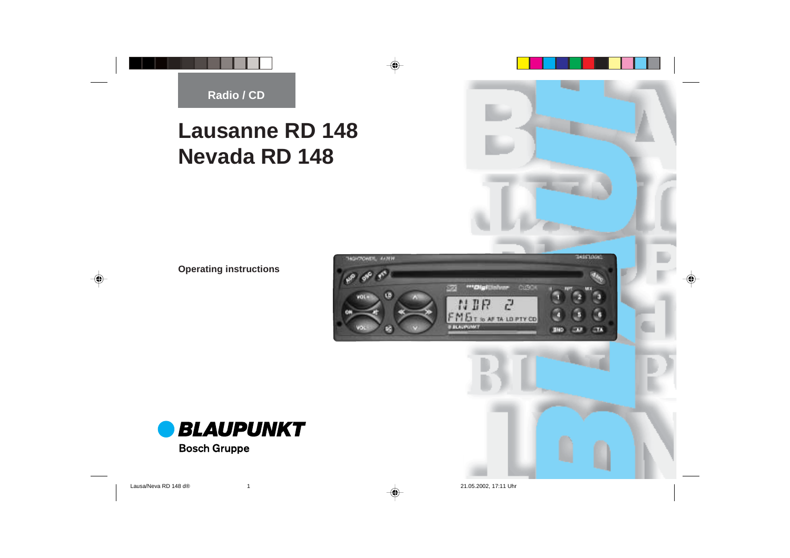**Radio / CD**

# **Lausanne RD 148 Nevada RD 148**

**Operating instructions**



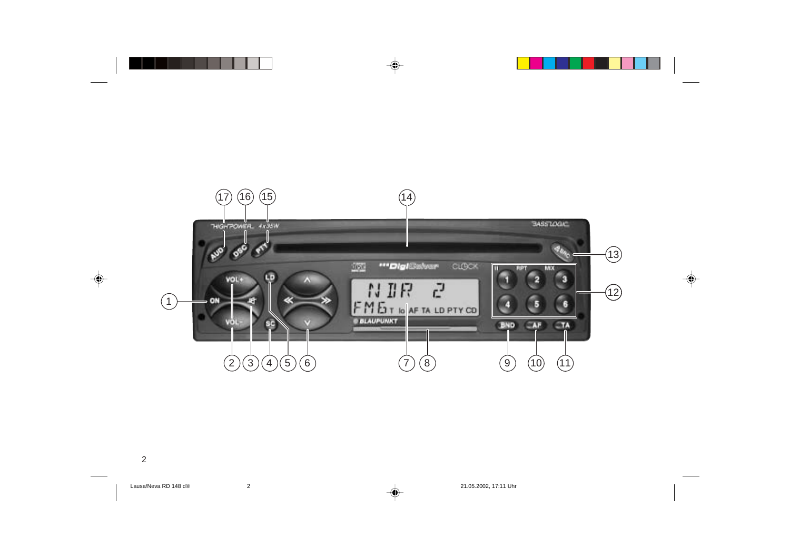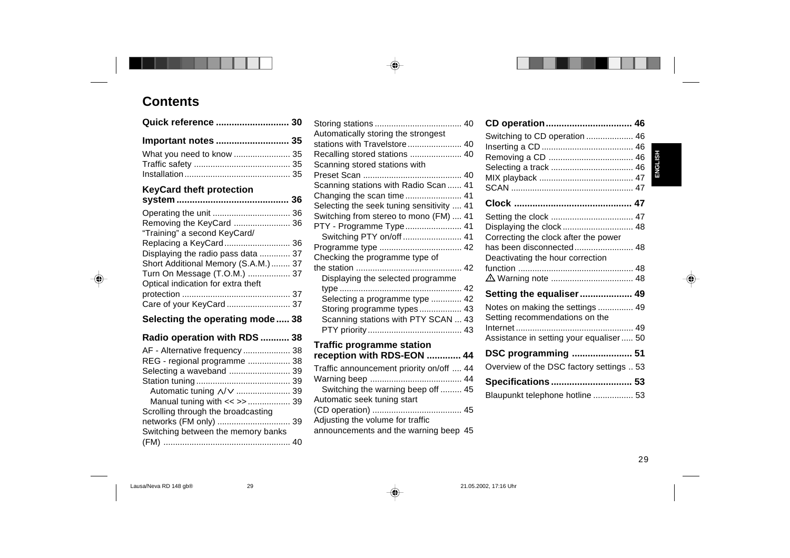| <b>Contents</b>                                                                                                                                                                                                                                                                                                                                                                                                                                                                                                                                              |                                                                                                                                                                                                                                                                                                                                                                                                                                                                                                                                                                                                                                                                                            |                                                                                                                                                                                                                                                                                                                                                                                          |
|--------------------------------------------------------------------------------------------------------------------------------------------------------------------------------------------------------------------------------------------------------------------------------------------------------------------------------------------------------------------------------------------------------------------------------------------------------------------------------------------------------------------------------------------------------------|--------------------------------------------------------------------------------------------------------------------------------------------------------------------------------------------------------------------------------------------------------------------------------------------------------------------------------------------------------------------------------------------------------------------------------------------------------------------------------------------------------------------------------------------------------------------------------------------------------------------------------------------------------------------------------------------|------------------------------------------------------------------------------------------------------------------------------------------------------------------------------------------------------------------------------------------------------------------------------------------------------------------------------------------------------------------------------------------|
|                                                                                                                                                                                                                                                                                                                                                                                                                                                                                                                                                              |                                                                                                                                                                                                                                                                                                                                                                                                                                                                                                                                                                                                                                                                                            |                                                                                                                                                                                                                                                                                                                                                                                          |
| Important notes  35<br>What you need to know  35<br><b>KeyCard theft protection</b><br>Removing the KeyCard  36<br>"Training" a second KeyCard/<br>Replacing a KeyCard 36<br>Displaying the radio pass data  37<br>Short Additional Memory (S.A.M.)  37<br>Turn On Message (T.O.M.)  37<br>Optical indication for extra theft<br>Care of your KeyCard  37<br>Selecting the operating mode 38<br>Radio operation with RDS  38<br>AF - Alternative frequency  38<br>REG - regional programme  38<br>Selecting a waveband  39<br>Manual tuning with << >><br>39 | Automatically storing the strongest<br>Recalling stored stations  40<br>Scanning stored stations with<br>Scanning stations with Radio Scan  41<br>Changing the scan time 41<br>Selecting the seek tuning sensitivity  41<br>Switching from stereo to mono (FM)  41<br>PTY - Programme Type 41<br>Switching PTY on/off  41<br>Checking the programme type of<br>Displaying the selected programme<br>Selecting a programme type  42<br>Storing programme types 43<br>Scanning stations with PTY SCAN  43<br><b>Traffic programme station</b><br>reception with RDS-EON  44<br>Traffic announcement priority on/off  44<br>Switching the warning beep off  45<br>Automatic seek tuning start | Switching to CD operation  46<br>Displaying the clock  48<br>Correcting the clock after the power<br>Deactivating the hour correction<br>Setting the equaliser 49<br>Notes on making the settings  49<br>Setting recommendations on the<br>Assistance in setting your equaliser 50<br>DSC programming  51<br>Overview of the DSC factory settings  53<br>Blaupunkt telephone hotline  53 |
| Scrolling through the broadcasting<br>networks (FM only)  39<br>Switching between the memory banks                                                                                                                                                                                                                                                                                                                                                                                                                                                           | Adjusting the volume for traffic<br>announcements and the warning beep 45                                                                                                                                                                                                                                                                                                                                                                                                                                                                                                                                                                                                                  |                                                                                                                                                                                                                                                                                                                                                                                          |

| Automatically storing the strongest                            |  |
|----------------------------------------------------------------|--|
| stations with Travelstore 40                                   |  |
| Recalling stored stations  40                                  |  |
| Scanning stored stations with                                  |  |
|                                                                |  |
| Scanning stations with Radio Scan  41                          |  |
| Changing the scan time 41                                      |  |
| Selecting the seek tuning sensitivity  41                      |  |
| Switching from stereo to mono (FM)  41                         |  |
| PTY - Programme Type 41                                        |  |
| Switching PTY on/off  41                                       |  |
|                                                                |  |
| Checking the programme type of                                 |  |
|                                                                |  |
| Displaying the selected programme                              |  |
|                                                                |  |
| Selecting a programme type  42                                 |  |
| Storing programme types 43                                     |  |
| Scanning stations with PTY SCAN  43                            |  |
|                                                                |  |
|                                                                |  |
| <b>Traffic programme station</b><br>reception with RDS-EON  44 |  |
|                                                                |  |
| Traffic announcement priority on/off  44                       |  |
|                                                                |  |
| Switching the warning beep off  45                             |  |
| Automatic seek tuning start                                    |  |
|                                                                |  |
|                                                                |  |
| Adjusting the volume for traffic                               |  |
| announcements and the warning beep 45                          |  |

| CD operation 46                                                    |  |
|--------------------------------------------------------------------|--|
| Switching to CD operation  46                                      |  |
|                                                                    |  |
|                                                                    |  |
|                                                                    |  |
|                                                                    |  |
|                                                                    |  |
|                                                                    |  |
|                                                                    |  |
| Displaying the clock  48                                           |  |
| Correcting the clock after the power                               |  |
| has been disconnected 48                                           |  |
| Deactivating the hour correction                                   |  |
|                                                                    |  |
| △ Warning note  48                                                 |  |
| Setting the equaliser  49                                          |  |
|                                                                    |  |
| Notes on making the settings  49<br>Setting recommendations on the |  |
|                                                                    |  |
| Assistance in setting your equaliser 50                            |  |
| DSC programming  51                                                |  |
| Overview of the DSC factory settings  53                           |  |
| Specifications  53                                                 |  |
| Blaupunkt telephone hotline  53                                    |  |

# **ENGLISH DEUTSCH**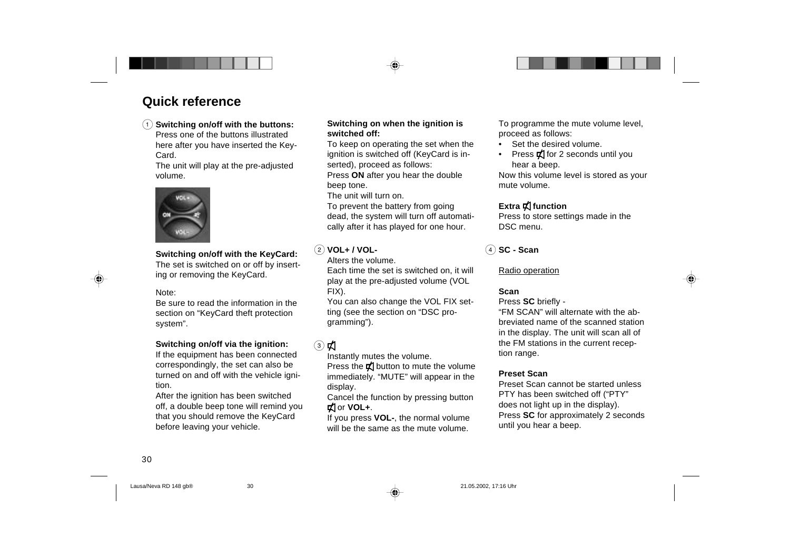# **Quick reference**

#### 1 **Switching on/off with the buttons:**

Press one of the buttons illustrated here after you have inserted the Key-Card.

The unit will play at the pre-adjusted volume.



#### **Switching on/off with the KeyCard:**

The set is switched on or off by inserting or removing the KeyCard.

#### Note:

Be sure to read the information in the section on "KeyCard theft protection system".

#### **Switching on/off via the ignition:**

If the equipment has been connected correspondingly, the set can also be turned on and off with the vehicle ignition.

After the ignition has been switched off, a double beep tone will remind you that you should remove the KeyCard before leaving your vehicle.

#### **Switching on when the ignition is switched off:**

To keep on operating the set when the ignition is switched off (KeyCard is inserted), proceed as follows: Press **ON** after you hear the double

beep tone.

The unit will turn on.

To prevent the battery from going dead, the system will turn off automatically after it has played for one hour.

#### 2 **VOL+ / VOL-**

Alters the volume.

Each time the set is switched on, it will play at the pre-adjusted volume (VOL FIX).

You can also change the VOL FIX setting (see the section on "DSC programming").

③ **e d** 

Instantly mutes the volume.

Press the  $\sharp$  button to mute the volume immediately. "MUTE" will appear in the display.

Cancel the function by pressing button **⊄l** or **VOL**+.

If you press **VOL-**, the normal volume will be the same as the mute volume.

To programme the mute volume level, proceed as follows:

- •Set the desired volume.
- •Press  $\sharp$  for 2 seconds until you hear a beep.

Now this volume level is stored as your mute volume.

#### **Extra 【diunction**

Press to store settings made in the DSC menu.

## 4 **SC - Scan**

#### Radio operation

#### **Scan**

Press **SC** briefly -

"FM SCAN" will alternate with the abbreviated name of the scanned station in the display. The unit will scan all of the FM stations in the current reception range.

#### **Preset Scan**

Preset Scan cannot be started unless PTY has been switched off ("PTY" does not light up in the display). Press **SC** for approximately 2 seconds until you hear a beep.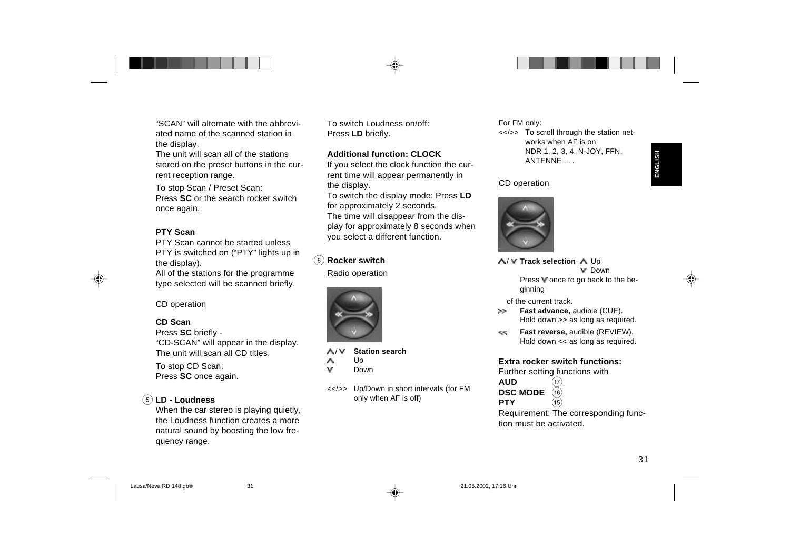<</>> To scroll through the station net-NDR 1, 2, 3, 4, N-JOY, FFN,

**ENGLISH DEUTSCH**

CD operation

For FM only:



 / **Track selection** Up **V** Down Press **y** once to go back to the beginning

works when AF is on,

**ANTENNE** 

of the current track.

- **Fast advance,** audible (CUE). Hold down >> as long as required.
- **Fast reverse,** audible (REVIEW). Hold down << as long as required.

#### **Extra rocker switch functions:**

Further setting functions with

- **AUD**  $\bigcirc$ **DSC MODE** @
- **PTY**
	- $15$

Requirement: The corresponding function must be activated.

#### 5 **LD - Loudness**

SCANY will alienate with the abbrevia the same of the same of the same of the same of the same of the same of the same of the same of the same of the same of the same of the same of the same of the same of the same of the When the car stereo is playing quietly. the Loudness function creates a more natural sound by boosting the low frequency range.

To switch Loudness on/off: Press **LD** briefly.

#### **Additional function: CLOCK**

If you select the clock function the current time will appear permanently in the display.

To switch the display mode: Press **LD** for approximately 2 seconds. The time will disappear from the dis-

play for approximately 8 seconds when you select a different function.

#### 6 **Rocker switch**

#### Radio operation



#### / **Station search**

Up Down

<</>> Up/Down in short intervals (for FM only when AF is off)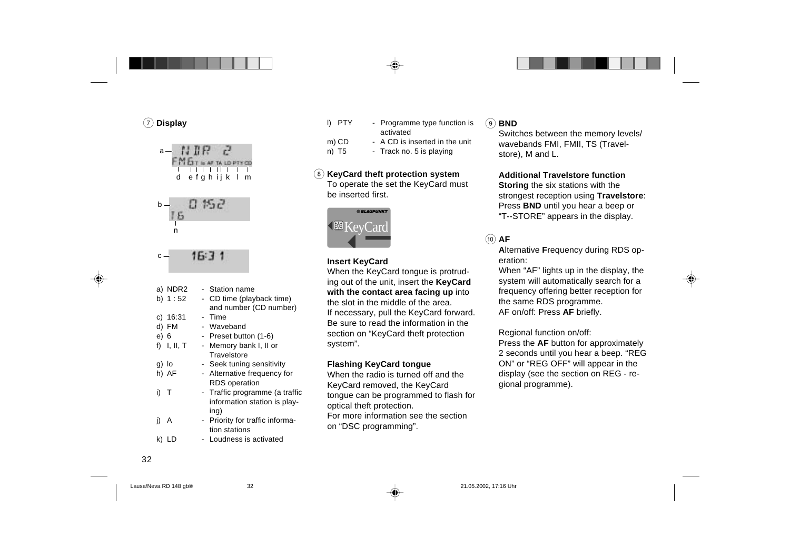#### 7 **Display**



a) NDR2 - Station name b) 1 : 52 - CD time (playback time) and number (CD number) c) 16:31 - Time d) FM - Waveband e) 6 - Preset button (1-6) f) I, II, T - Memory bank I, II or **Travelstore** g) lo - Seek tuning sensitivity h) AF - Alternative frequency for RDS operation i) T - Traffic programme (a traffic information station is playing) j) A - Priority for traffic information stations k) LD - Loudness is activated

- l) PTY Programme type function is activated m) CD - A CD is inserted in the unit
- n) T5 Track no. 5 is playing

#### 8 **KeyCard theft protection system**

To operate the set the KeyCard must be inserted first.



#### **Insert KeyCard**

When the KeyCard tongue is protruding out of the unit, insert the **KeyCard with the contact area facing up** into the slot in the middle of the area. If necessary, pull the KeyCard forward. Be sure to read the information in the section on "KeyCard theft protection system".

#### **Flashing KeyCard tongue**

When the radio is turned off and the KeyCard removed, the KeyCard tongue can be programmed to flash for optical theft protection. For more information see the section

on "DSC programming".

### 9 **BND**

Switches between the memory levels/ wavebands FMI, FMII, TS (Travelstore), M and L.

#### **Additional Travelstore function**

**Storing** the six stations with the strongest reception using **Travelstore**: Press **BND** until you hear a beep or "T--STORE" appears in the display.

## : **AF**

**A**lternative **F**requency during RDS operation:

When "AF" lights up in the display, the system will automatically search for a frequency offering better reception for the same RDS programme.

AF on/off: Press **AF** briefly.

Regional function on/off:

Press the **AF** button for approximately 2 seconds until you hear a beep. "REG ON" or "REG OFF" will appear in the display (see the section on REG - regional programme).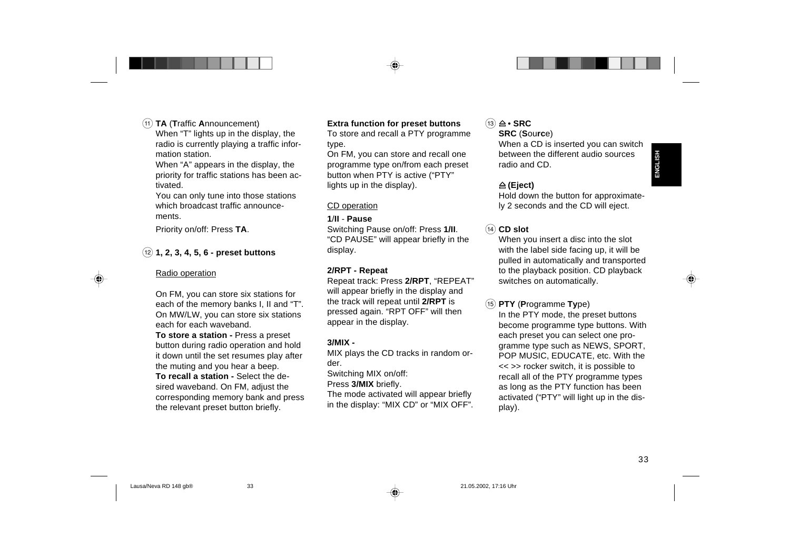#### ; **TA** ( **T**raffic **A**nnouncement)

When "T" lights up in the display, the radio is currently playing a traffic information station.

When "A" appears in the display, the priority for traffic stations has been activated.

You can only tune into those stations which broadcast traffic announcements.

Priority on/off: Press **TA**.

#### < **1, 2, 3, 4, 5, 6 - preset buttons**

#### Radio operation

On FM, you can store six stations for each of the memory banks I, II and "T". On MW/LW, you can store six stations each for each waveband.

**To store a station -** Press a preset button during radio operation and hold it down until the set resumes play after the muting and you hear a beep.

**To recall a station -** Select the desired waveband. On FM, adjust the corresponding memory bank and press the relevant preset button briefly.

#### **Extra function for preset buttons**

To store and recall a PTY programme type.

On FM, you can store and recall one programme type on/from each preset button when PTY is active ("PTY" lights up in the display).

#### CD operation

#### **1**/**II** - **Pause**

Switching Pause on/off: Press **1/II**. "CD PAUSE" will appear briefly in the display.

#### **2/RPT - Repeat**

Repeat track: Press **2/RPT**, "REPEAT" will appear briefly in the display and the track will repeat until **2/RPT** is pressed again. "RPT OFF" will then appear in the display.

#### **3/MIX -**

MIX plays the CD tracks in random order.

Switching MIX on/off:

Press **3/MIX** briefly.

The mode activated will appear briefly in the display: "MIX CD" or "MIX OFF".

# $(13) \triangleq \bullet$  **SRC**

**SRC** ( **S**ou**rc**e) When a CD is inserted you can switch between the different audio sources radio and CD.

#### **(Eject)**

Hold down the button for approximately 2 seconds and the CD will eject.

#### $(14)$  CD slot

When you insert a disc into the slot with the label side facing up, it will be pulled in automatically and transported to the playback position. CD playback switches on automatically.

#### ? **PTY** (**P**rogramme **Ty**pe)

In the PTY mode, the preset buttons become programme type buttons. With each preset you can select one programme type such as NEWS, SPORT, POP MUSIC, EDUCATE, etc. With the << >> rocker switch, it is possible to recall all of the PTY programme types as long as the PTY function has been activated ("PTY" will light up in the display).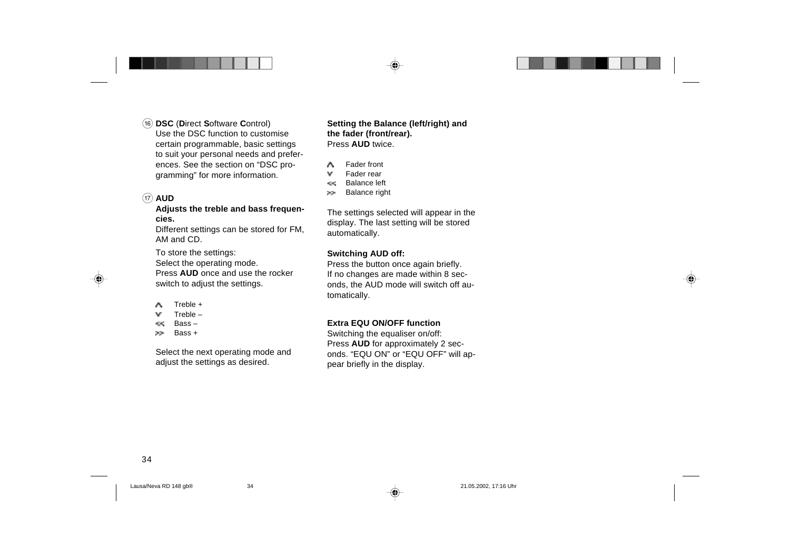@ **DSC** ( **D**irect **S**oftware **C**ontrol) Use the DSC function to customise certain programmable, basic settings to suit your personal needs and preferences. See the section on "DSC programming" for more information.

#### **G AUD**

#### **Adjusts the treble and bass frequencies.**

Different settings can be stored for FM, AM and CD.

To store the settings: Select the operating mode. Press **AUD** once and use the rocker switch to adjust the settings.

- Λ Treble +
- Treble ۹Ø
- -cc Bass –
- Bass + 304

Select the next operating mode and adjust the settings as desired.

#### **Setting the Balance (left/right) and the fader (front/rear).** Press **AUD** twice.

- A Fader front
- Fader rear ۹Ø
- Balance left  $<<$
- Balance right 399

The settings selected will appear in the display. The last setting will be stored automatically.

#### **Switching AUD off:**

Press the button once again briefly. If no changes are made within 8 seconds, the AUD mode will switch off automatically.

#### **Extra EQU ON/OFF function**

Switching the equaliser on/off: Press **AUD** for approximately 2 seconds. "EQU ON" or "EQU OFF" will appear briefly in the display.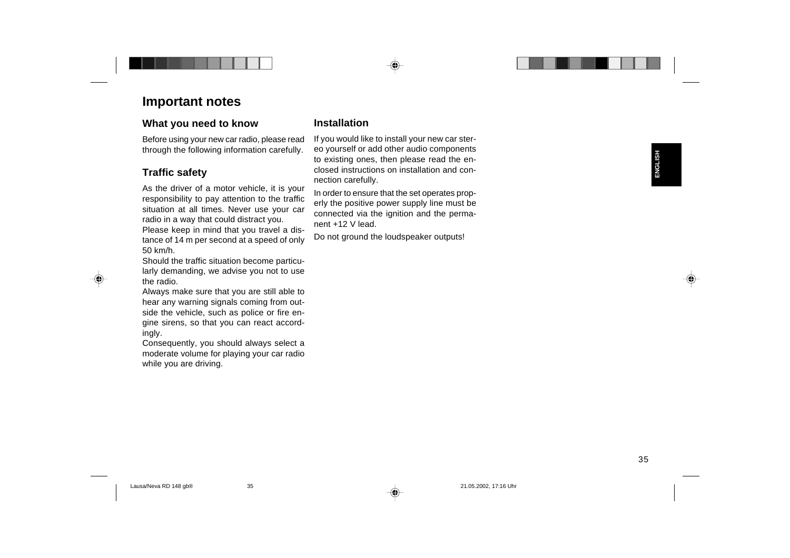# **ENGLISH DEUTSCH**

**IMportant notes to know**<br>
What you welong between the control plasse read if you would like to install your new carster-<br>
through the following information carefully.<br>
Traffic safety<br>
the following information carefully.<br>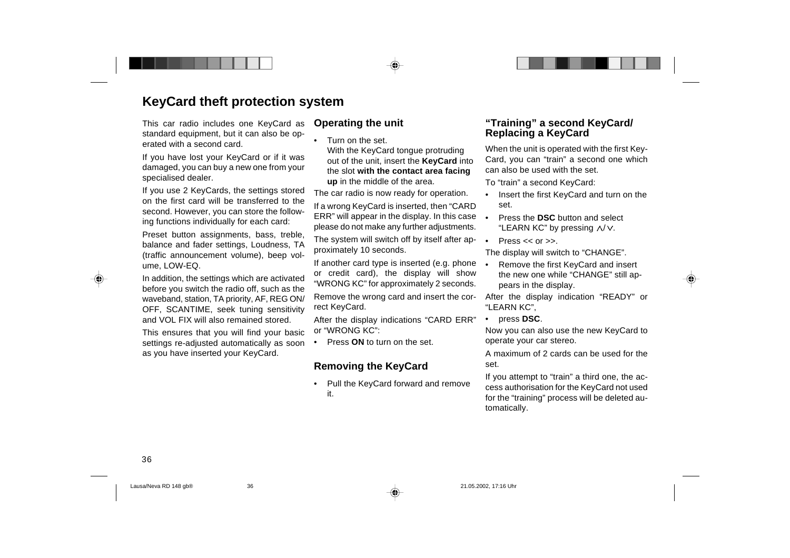# **KeyCard theft protection system**

This car radio includes one KeyCard as standard equipment, but it can also be operated with a second card.

If you have lost your KeyCard or if it was damaged, you can buy a new one from your specialised dealer.

If you use 2 KeyCards, the settings stored on the first card will be transferred to the second. However, you can store the following functions individually for each card:

Preset button assignments, bass, treble, balance and fader settings, Loudness, TA (traffic announcement volume), beep volume, LOW-EQ.

In addition, the settings which are activated before you switch the radio off, such as the waveband, station, TA priority, AF, REG ON/ OFF, SCANTIME, seek tuning sensitivity and VOL FIX will also remained stored.

This ensures that you will find your basic settings re-adjusted automatically as soon as you have inserted your KeyCard.

## **Operating the unit**

•Turn on the set.

With the KeyCard tongue protruding out of the unit, insert the **KeyCard** into the slot **with the contact area facing up** in the middle of the area.

The car radio is now ready for operation.

If a wrong KeyCard is inserted, then "CARD ERR" will appear in the display. In this case •please do not make any further adjustments.

The system will switch off by itself after ap-•proximately 10 seconds.

If another card type is inserted (e.g. phone or credit card), the display will show "WRONG KC" for approximately 2 seconds.

Remove the wrong card and insert the correct KeyCard.

After the display indications "CARD ERR" or "WRONG KC":

• Press **ON** to turn on the set.

## **Removing the KeyCard**

• Pull the KeyCard forward and remove it.

#### **"Training" a second KeyCard/ Replacing a KeyCard**

When the unit is operated with the first Key-Card, you can "train" a second one which can also be used with the set.

To "train" a second KeyCard:

- • Insert the first KeyCard and turn on the set.
- Press the **DSC** button and select "LEARN KC" by pressing  $\wedge/\vee$ .
- Press  $<<$  or  $>>$

The display will switch to "CHANGE".

• Remove the first KeyCard and insert the new one while "CHANGE" still appears in the display.

After the display indication "READY" or "LEARN KC",

•press **DSC**.

Now you can also use the new KeyCard to operate your car stereo.

A maximum of 2 cards can be used for the set.

If you attempt to "train" a third one, the access authorisation for the KeyCard not used for the "training" process will be deleted automatically.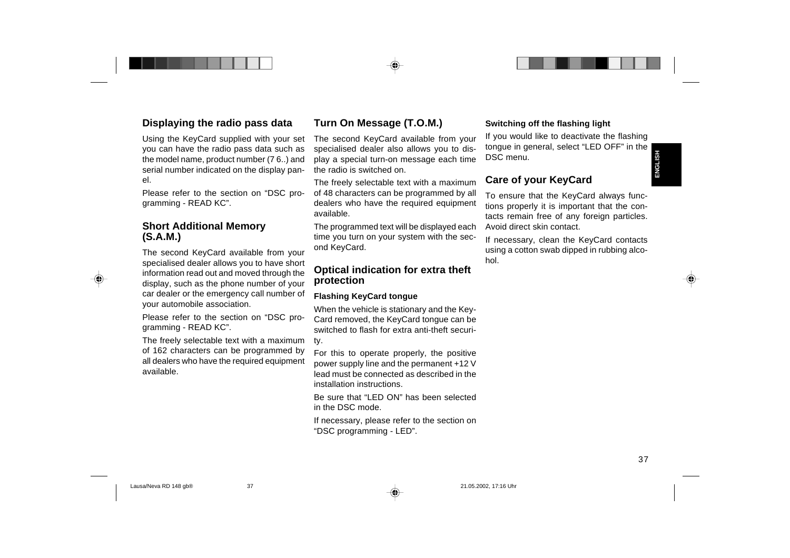Displaying the radio pass data Turn On Message (T.O.M.)<br>
Susper the fileshing tight and the fileshing light and the fileshing light and the fileshing the response have the response to the condition of the fileshing out an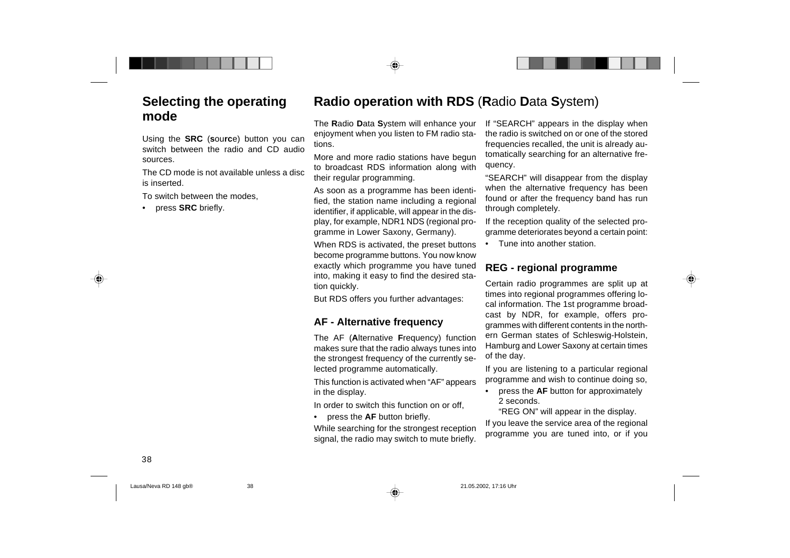# **Selecting the operating mode**

Using the **SRC** (**<sup>s</sup>**ou**rc**e) button you can switch between the radio and CD audio sources.

The CD mode is not available unless a disc is inserted.

To switch between the modes,

•press **SRC** briefly.

# **Radio operation with RDS** (**R**adio **D**ata **S**ystem)

The **R**adio **D**ata **S**ystem will enhance your enjoyment when you listen to FM radio stations.

More and more radio stations have begun to broadcast RDS information along with their regular programming.

As soon as a programme has been identified, the station name including a regional identifier, if applicable, will appear in the display, for example, NDR1 NDS (regional programme in Lower Saxony, Germany).

When RDS is activated, the preset buttons become programme buttons. You now know exactly which programme you have tuned into, making it easy to find the desired station quickly.

But RDS offers you further advantages:

## **AF - Alternative frequency**

The AF ( **A**lternative **F**requency) function makes sure that the radio always tunes into the strongest frequency of the currently selected programme automatically.

This function is activated when "AF" appears in the display.

In order to switch this function on or off.

•press the **AF** button briefly.

While searching for the strongest reception signal, the radio may switch to mute briefly.

If "SEARCH" appears in the display when the radio is switched on or one of the stored frequencies recalled, the unit is already automatically searching for an alternative frequency.

"SEARCH" will disappear from the display when the alternative frequency has been found or after the frequency band has run through completely.

If the reception quality of the selected programme deteriorates beyond a certain point:

•Tune into another station.

### **REG - regional programme**

Certain radio programmes are split up at times into regional programmes offering local information. The 1st programme broadcast by NDR, for example, offers programmes with different contents in the northern German states of Schleswig-Holstein, Hamburg and Lower Saxony at certain times of the day.

If you are listening to a particular regional programme and wish to continue doing so,

• press the **AF** button for approximately 2 seconds.

"REG ON" will appear in the display.

If you leave the service area of the regional programme you are tuned into, or if you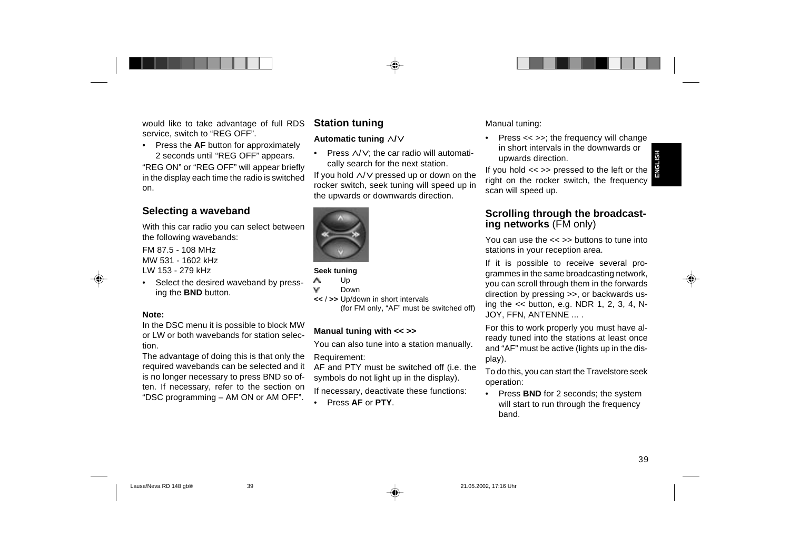**ENGLISH DEUTSCH**

would like to take advantage of full RDS service, switch to "REG OFF".

• Press the **AF** button for approximately 2 seconds until "REG OFF" appears. "REG ON" or "REG OFF" will appear briefly in the display each time the radio is switched on.

#### **Selecting a waveband**

With this car radio you can select between the following wavebands:

- FM 87.5 108 MHz MW 531 - 1602 kHz LW 153 - 279 kHz
- • Select the desired waveband by pressing the **BND** button.

#### **Note:**

In the DSC menu it is possible to block MW or LW or both wavebands for station selection.

The advantage of doing this is that only the required wavebands can be selected and it is no longer necessary to press BND so often. If necessary, refer to the section on "DSC programming – AM ON or AM OFF".

## **Station tuning**

#### **Automatic tuning**  $\land$ **/** $\lor$

• Press  $\wedge/\vee;$  the car radio will automatically search for the next station.

If you hold  $\land$   $\lor$  pressed up or down on the rocker switch, seek tuning will speed up in the upwards or downwards direction.



#### **Seek tuning**

Λ w

Up

- Down
- **<<** / **>>** Up/down in short intervals (for FM only, "AF" must be switched off)

#### **Manual tuning with << >>**

You can also tune into a station manually.

Requirement:

AF and PTY must be switched off (i.e. the symbols do not light up in the display).

If necessary, deactivate these functions:

• Press **AF** or **PTY**.

• Press << >>; the frequency will change in short intervals in the downwards or upwards direction.

If you hold << >> pressed to the left or the right on the rocker switch, the frequency scan will speed up.

#### **Scrolling through the broadcasting networks** (FM only)

You can use the << >> buttons to tune into stations in your reception area.

Manual tuning:<br>
Press << >>; the frequency will change<br>
in short intervals in the downwards or<br>
upwards direction.<br>
If you hold << >> pressed to the left or the gality<br>
or hold  $\ll$  >> pressed to the left or the gality<br>
s If it is possible to receive several programmes in the same broadcasting network, you can scroll through them in the forwards direction by pressing >>, or backwards using the  $<<$  button, e.g. NDR 1, 2, 3, 4, N-JOY, FFN, ANTENNE ... .

For this to work properly you must have already tuned into the stations at least once and "AF" must be active (lights up in the display).

To do this, you can start the Travelstore seek operation:

• Press **BND** for 2 seconds; the system will start to run through the frequency band.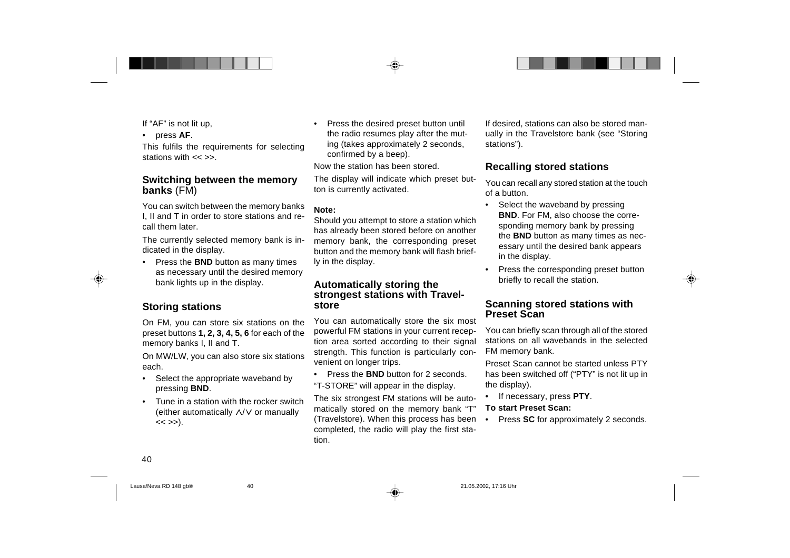If "AF" is not lit up,

• press **AF**.

This fulfils the requirements for selecting stations with << >>.

#### **Switching between the memory banks** (FM)

You can switch between the memory banks I, II and T in order to store stations and recall them later.

The currently selected memory bank is indicated in the display.

• Press the **BND** button as many times as necessary until the desired memory bank lights up in the display.

## **Storing stations**

On FM, you can store six stations on the preset buttons **1, 2, 3, 4, 5, 6** for each of the memory banks I, II and T.

On MW/LW, you can also store six stations each.

- • Select the appropriate waveband by pressing **BND**.
- Tune in a station with the rocker switch (either automatically  $\land$  or manually  $<<$  >>).

• Press the desired preset button until the radio resumes play after the muting (takes approximately 2 seconds, confirmed by a beep).

Now the station has been stored.

The display will indicate which preset button is currently activated.

#### **Note:**

Should you attempt to store a station which has already been stored before on another memory bank, the corresponding preset button and the memory bank will flash briefly in the display.

#### **Automatically storing the strongest stations with Travelstore**

You can automatically store the six most powerful FM stations in your current reception area sorted according to their signal strength. This function is particularly convenient on longer trips.

• Press the **BND** button for 2 seconds. "T-STORE" will appear in the display.

The six strongest FM stations will be automatically stored on the memory bank "T" (Travelstore). When this process has been completed, the radio will play the first station.

If desired, stations can also be stored manually in the Travelstore bank (see "Storing stations").

### **Recalling stored stations**

You can recall any stored station at the touch of a button.

- • Select the waveband by pressing **BND**. For FM, also choose the corresponding memory bank by pressing the **BND** button as many times as necessary until the desired bank appears in the display.
- Press the corresponding preset button briefly to recall the station.

#### **Scanning stored stations with Preset Scan**

You can briefly scan through all of the stored stations on all wavebands in the selected FM memory bank.

Preset Scan cannot be started unless PTY has been switched off ("PTY" is not lit up in the display).

•If necessary, press **PTY**.

#### **To start Preset Scan:**

•Press **SC** for approximately 2 seconds.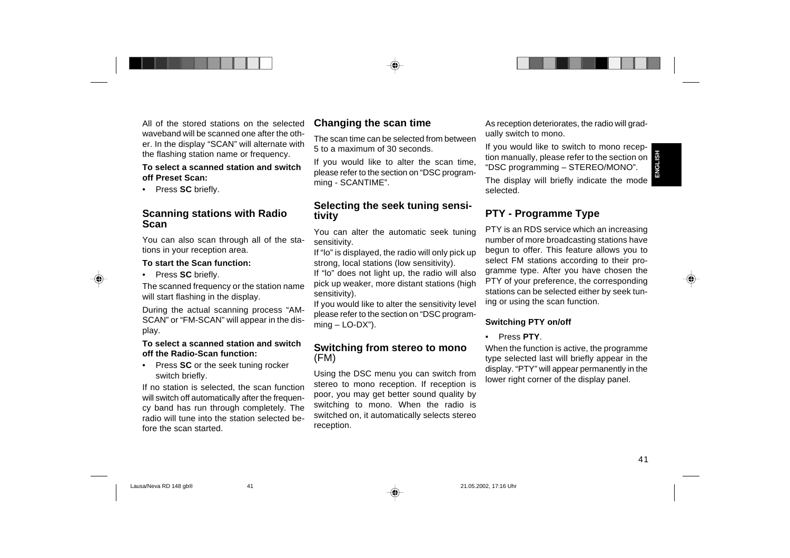• Press **SC** briefly.

#### **Scanning stations with Radio Scan**

You can also scan through all of the stations in your reception area.

#### **To start the Scan function:**

•Press **SC** briefly.

The scanned frequency or the station name will start flashing in the display.

During the actual scanning process "AM-SCAN" or "FM-SCAN" will appear in the display.

#### **To select a scanned station and switch off the Radio-Scan function:**

• Press **SC** or the seek tuning rocker switch briefly.

If no station is selected, the scan function will switch off automatically after the frequency band has run through completely. The radio will tune into the station selected before the scan started.

## **Changing the scan time**

The scan time can be selected from between 5 to a maximum of 30 seconds.

If you would like to alter the scan time, please refer to the section on "DSC programming - SCANTIME".

#### **Selecting the seek tuning sensitivity**

You can alter the automatic seek tuning sensitivity.

If "lo" is displayed, the radio will only pick up strong, local stations (low sensitivity).

If "lo" does not light up, the radio will also pick up weaker, more distant stations (high sensitivity).

If you would like to alter the sensitivity level please refer to the section on "DSC program $minq - LO-DX$ ").

#### **Switching from stereo to mono** (FM)

Using the DSC menu you can switch from stereo to mono reception. If reception is poor, you may get better sound quality by switching to mono. When the radio is switched on, it automatically selects stereo reception.

As reception deteriorates, the radio will gradually switch to mono.

If you would like to switch to mono reception manually, please refer to the section on "DSC programming – STEREO/MONO".

The display will briefly indicate the mode selected.

## **PTY - Programme Type**

All of the stories and the active and the stories of Changing the Schar time scheme is a species of the standard in the display will be the scheme of the standard on the standard in the display "SCAN" will altern the sche PTY is an RDS service which an increasing number of more broadcasting stations have begun to offer. This feature allows you to select FM stations according to their programme type. After you have chosen the PTY of your preference, the corresponding stations can be selected either by seek tuning or using the scan function.

#### **Switching PTY on/off**

•Press **PTY**.

When the function is active, the programme type selected last will briefly appear in the display. "PTY" will appear permanently in the lower right corner of the display panel.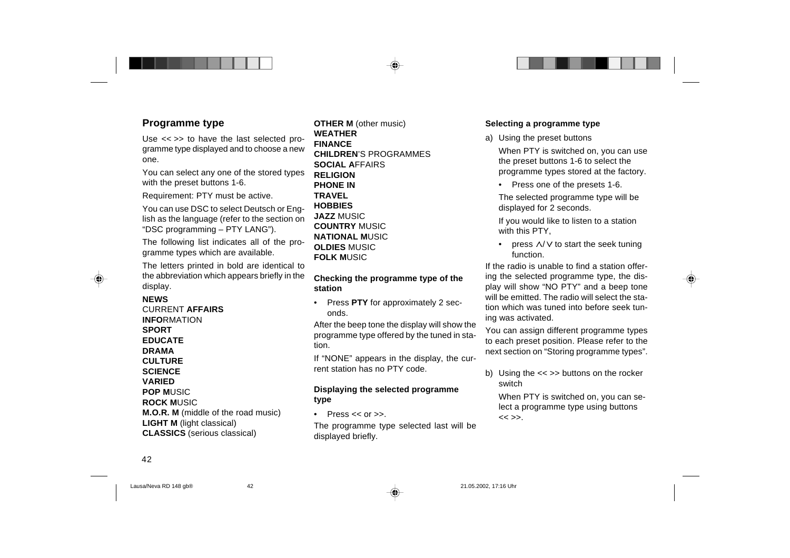### **Programme type**

Use  $\lt\lt\gt$  to have the last selected programme type displayed and to choose a new one.

You can select any one of the stored types with the preset buttons 1-6.

Requirement: PTY must be active.

You can use DSC to select Deutsch or English as the language (refer to the section on "DSC programming – PTY LANG").

The following list indicates all of the programme types which are available.

The letters printed in bold are identical to the abbreviation which appears briefly in the display.

#### **NEWS**

CURRENT **AFFAIRS INFO**RMATION **SPORT EDUCATE DRAMA CULTURE SCIENCE VARIED POP M**USIC **ROCK M**USIC **M.O.R. M** (middle of the road music) **LIGHT M** (light classical) **CLASSICS** (serious classical)

**OTHER M** (other music) **WEATHER FINANCE CHILDREN**'S PROGRAMMES **SOCIAL A**FFAIRS **RELIGION PHONE IN TRAVEL HOBBIES JAZZ** MUSIC **COUNTRY** MUSIC **NATIONAL M**USIC **OLDIES** MUSIC **FOLK M**USIC

#### **Checking the programme type of the station**

• Press **PTY** for approximately 2 seconds.

After the beep tone the display will show the programme type offered by the tuned in station.

If "NONE" appears in the display, the current station has no PTY code.

#### **Displaying the selected programme type**

•Press  $<<$  or  $>>$ .

The programme type selected last will be displayed briefly.

#### **Selecting a programme type**

a) Using the preset buttons

When PTY is switched on, you can use the preset buttons 1-6 to select the programme types stored at the factory.

• Press one of the presets 1-6.

The selected programme type will be displayed for 2 seconds.

If you would like to listen to a station with this PTY,

 $\bullet$  press  $\wedge/\vee$  to start the seek tuning function.

If the radio is unable to find a station offering the selected programme type, the display will show "NO PTY" and a beep tone will be emitted. The radio will select the station which was tuned into before seek tuning was activated.

You can assign different programme types to each preset position. Please refer to the next section on "Storing programme types".

b) Using the << >> buttons on the rocker switch

When PTY is switched on, you can select a programme type using buttons  $<<$  >>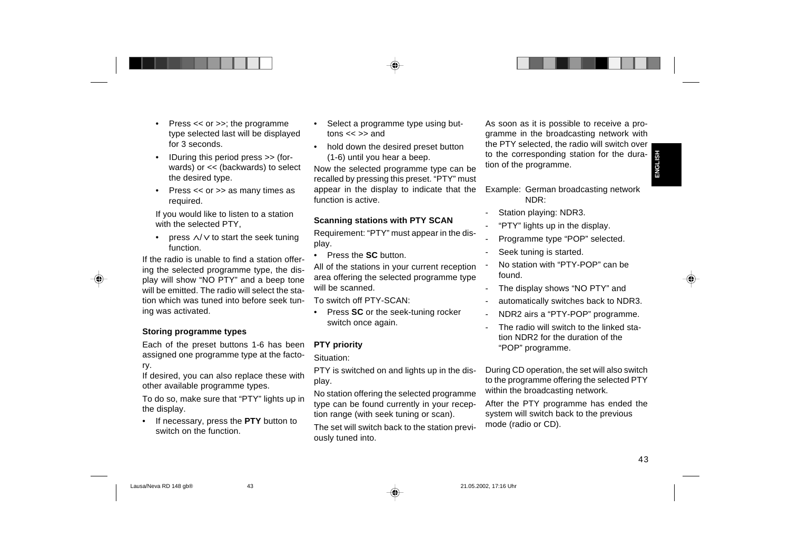- • Press << or >>; the programme type selected last will be displayed for 3 seconds.
- • IDuring this period press >> (forwards) or << (backwards) to select the desired type.
- • Press << or >> as many times as required.

If you would like to listen to a station with the selected PTY.

• press  $\wedge/\vee$  to start the seek tuning function.

If the radio is unable to find a station offering the selected programme type, the display will show "NO PTY" and a beep tone will be emitted. The radio will select the station which was tuned into before seek tuning was activated.

#### **Storing programme types**

Each of the preset buttons 1-6 has been assigned one programme type at the factory.

If desired, you can also replace these with other available programme types.

To do so, make sure that "PTY" lights up in the display.

• If necessary, press the **PTY** button to switch on the function.

- • Select a programme type using buttons  $<<$   $>>$  and
- • hold down the desired preset button (1-6) until you hear a beep.

Now the selected programme type can be recalled by pressing this preset. "PTY" must appear in the display to indicate that the function is active.

#### **Scanning stations with PTY SCAN**

Requirement: "PTY" must appear in the display.

• Press the **SC** button.

All of the stations in your current reception area offering the selected programme type will be scanned.

To switch off PTY-SCAN:

• Press **SC** or the seek-tuning rocker switch once again.

#### **PTY priority**

#### Situation:

PTY is switched on and lights up in the display.

No station offering the selected programme type can be found currently in your reception range (with seek tuning or scan).

The set will switch back to the station previously tuned into.

As soon as it is possible to receive a programme in the broadcasting network with the PTY selected, the radio will switch over to the corresponding station for the duration of the programme.

Example: German broadcasting network NDR:

- Station playing: NDR3.
- "PTY" lights up in the display.
- Programme type "POP" selected.
- -Seek tuning is started.
- No station with "PTY-POP" can be found.
- -The display shows "NO PTY" and
- automatically switches back to NDR3.
- NDR2 airs a "PTY-POP" programme.
- - The radio will switch to the linked station NDR2 for the duration of the "POP" programme.

During CD operation, the set will also switch to the programme offering the selected PTY within the broadcasting network.

After the PTY programme has ended the system will switch back to the previous mode (radio or CD).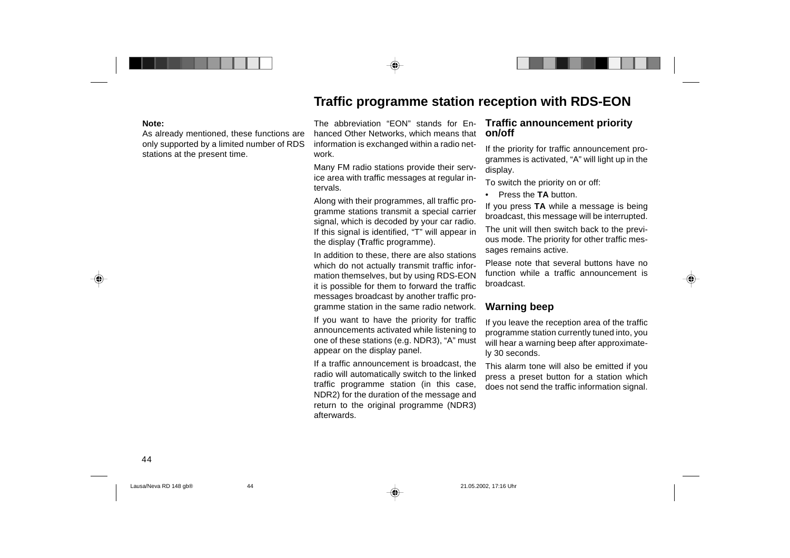# **Traffic programme station reception with RDS-EON**

#### **Note:**

As already mentioned, these functions are only supported by a limited number of RDS stations at the present time.

The abbreviation "EON" stands for Enhanced Other Networks, which means that information is exchanged within a radio network.

Many FM radio stations provide their service area with traffic messages at regular intervals.

Along with their programmes, all traffic programme stations transmit a special carrier signal, which is decoded by your car radio. If this signal is identified, "T" will appear in the display ( **T**raffic programme).

In addition to these, there are also stations which do not actually transmit traffic information themselves, but by using RDS-EON it is possible for them to forward the traffic messages broadcast by another traffic programme station in the same radio network.

If you want to have the priority for traffic announcements activated while listening to one of these stations (e.g. NDR3), "A" must appear on the display panel.

If a traffic announcement is broadcast, the radio will automatically switch to the linked traffic programme station (in this case, NDR2) for the duration of the message and return to the original programme (NDR3) afterwards.

#### **Traffic announcement priority on/off**

If the priority for traffic announcement programmes is activated, "A" will light up in the display.

To switch the priority on or off:

•Press the **TA** button.

If you press **TA** while a message is being broadcast, this message will be interrupted.

The unit will then switch back to the previous mode. The priority for other traffic messages remains active.

Please note that several buttons have no function while a traffic announcement is broadcast.

## **Warning beep**

If you leave the reception area of the traffic programme station currently tuned into, you will hear a warning beep after approximately 30 seconds.

This alarm tone will also be emitted if you press a preset button for a station which does not send the traffic information signal.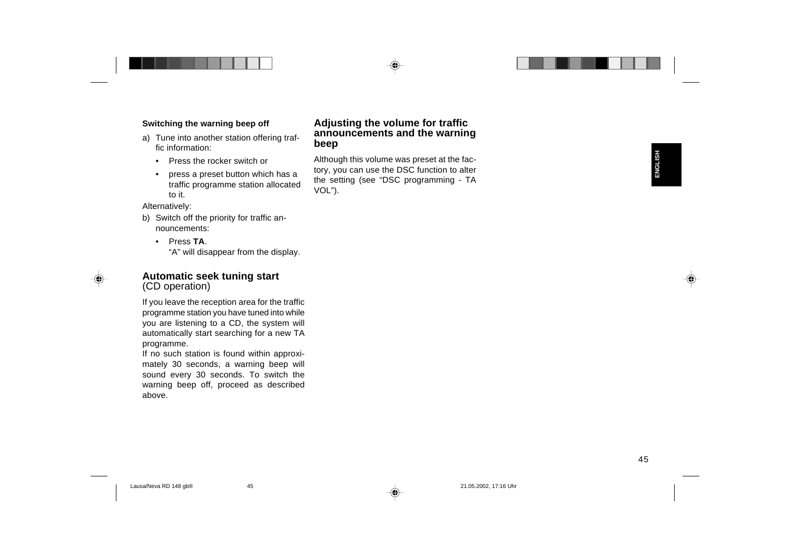- - Press the rocker switch or
	- • press a preset button which has a traffic programme station allocated to it.

Alternatively:

- b) Switch off the priority for traffic announcements:
	- Press **TA**.

"A" will disappear from the display.

#### **Automatic seek tuning start** (CD operation)

If you leave the reception area for the traffic programme station you have tuned into while you are listening to a CD, the system will automatically start searching for a new TA programme.

Switching the warming beep of **Adjusting the volume of traffice**<br>
is Tune into another station offering traf-<br>
the conduction of the conduction of the conduction of the conduction of the conduction of the press the recoke If no such station is found within approximately 30 seconds, a warning beep will sound every 30 seconds. To switch the warning beep off, proceed as described above.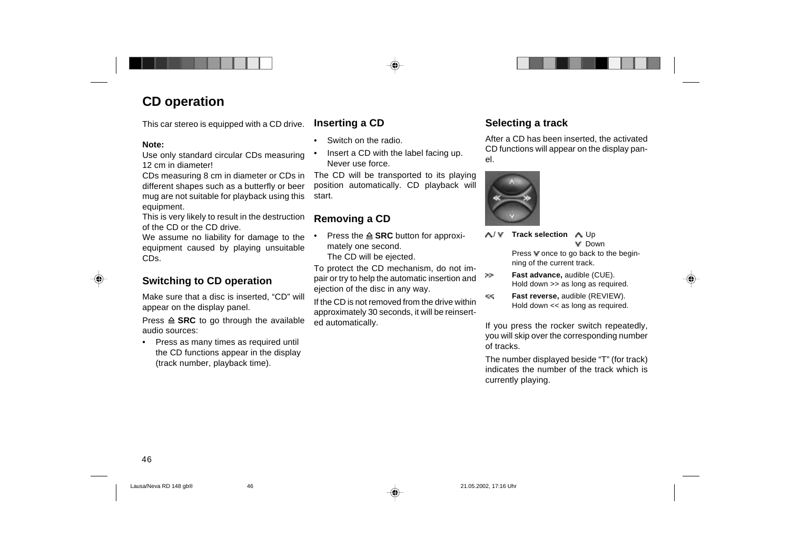# **CD operation**

This car stereo is equipped with a CD drive.

#### **Note:**

Use only standard circular CDs measuring 12 cm in diameter!

CDs measuring 8 cm in diameter or CDs in different shapes such as a butterfly or beer mug are not suitable for playback using this equipment.

This is very likely to result in the destruction of the CD or the CD drive.

We assume no liability for damage to the equipment caused by playing unsuitable CDs.

## **Switching to CD operation**

Make sure that a disc is inserted, "CD" will appear on the display panel.

Press  $\triangle$  **SRC** to go through the available audio sources:

• Press as many times as required until the CD functions appear in the display (track number, playback time).

## **Inserting a CD**

- •Switch on the radio.
- • Insert a CD with the label facing up. Never use force.

The CD will be transported to its playing position automatically. CD playback will start.

## **Removing a CD**

• Press the **SRC** button for approximately one second. The CD will be ejected.

To protect the CD mechanism, do not impair or try to help the automatic insertion and ejection of the disc in any way.

If the CD is not removed from the drive within approximately 30 seconds, it will be reinserted automatically.

## **Selecting a track**

After a CD has been inserted, the activated CD functions will appear on the display panel.



- **A/ Y** Track selection **A** Up **V** Down Press V once to go back to the beginning of the current track. 30.
	- **Fast advance,** audible (CUE). Hold down >> as long as required.
- **Fast reverse,** audible (REVIEW). ЮC. Hold down << as long as required.

If you press the rocker switch repeatedly, you will skip over the corresponding number of tracks.

The number displayed beside "T" (for track) indicates the number of the track which is currently playing.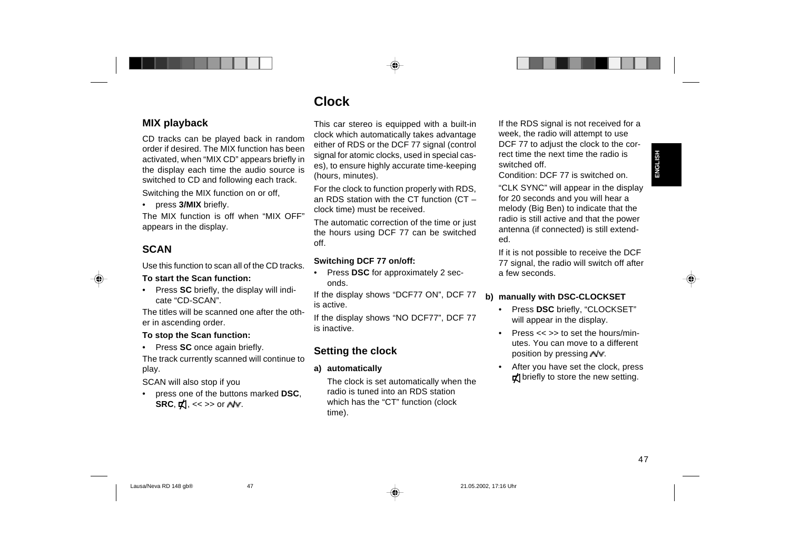### **MIX playback**

CD tracks can be played back in random order if desired. The MIX function has been activated, when "MIX CD" appears briefly in the display each time the audio source is switched to CD and following each track.

Switching the MIX function on or off,

•press **3/MIX** briefly.

The MIX function is off when "MIX OFF" appears in the display.

## **SCAN**

Use this function to scan all of the CD tracks.

#### **To start the Scan function:**

• Press **SC** briefly, the display will indicate "CD-SCAN".

The titles will be scanned one after the other in ascending order.

#### **To stop the Scan function:**

•Press **SC** once again briefly.

The track currently scanned will continue to play.

SCAN will also stop if you

• press one of the buttons marked **DSC**,  $SRC$ ,  $\sharp$ , << >> or  $\check{N}$ .

Clock<br>
This car stereo is equipped with a built-in<br>
the RDS signal is not received for a<br>
broke which atomomotically takes advantage<br>
week, the radio will attempt to use<br>
tentine to RDS or the DCF 77 signal (control<br>
to DC

• Press **DSC** for approximately 2 seconds.

If the display shows "DCF77 ON", DCF 77 is active.

If the display shows "NO DCF77", DCF 77 is inactive.

## **Setting the clock**

#### **a) automatically**

The clock is set automatically when the radio is tuned into an RDS station which has the "CT" function (clock time).

If the RDS signal is not received for a week, the radio will attempt to use DCF 77 to adjust the clock to the correct time the next time the radio is switched off.

Condition: DCF 77 is switched on.

"CLK SYNC" will appear in the display for 20 seconds and you will hear a melody (Big Ben) to indicate that the radio is still active and that the power antenna (if connected) is still extended.

If it is not possible to receive the DCF 77 signal, the radio will switch off after a few seconds.

#### **b) manually with DSC-CLOCKSET**

- Press **DSC** briefly, "CLOCKSET" will appear in the display.
- Press << >> to set the hours/minutes. You can move to a different position by pressing  $\mathcal{N}$ .
- • After you have set the clock, press  $\mathbf{r}'$  briefly to store the new setting.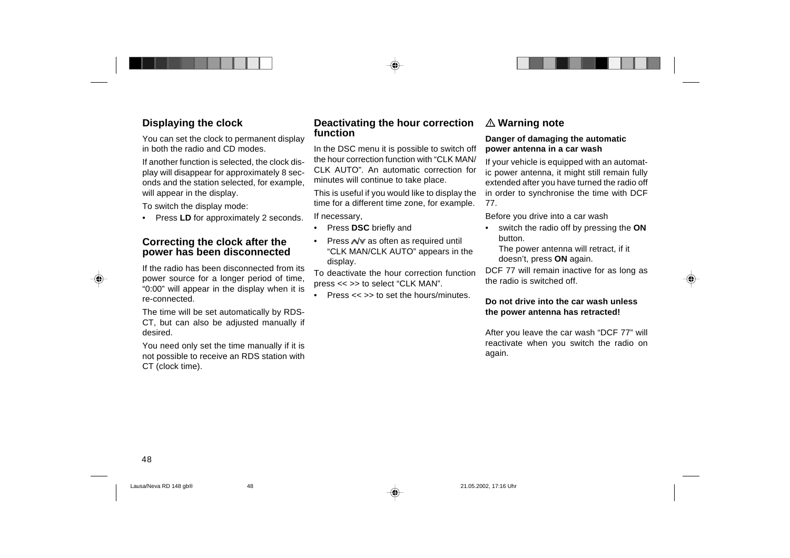## **Displaying the clock**

You can set the clock to permanent display in both the radio and CD modes.

If another function is selected, the clock display will disappear for approximately 8 seconds and the station selected, for example, will appear in the display.

To switch the display mode:

•Press **LD** for approximately 2 seconds.

#### **Correcting the clock after the power has been disconnected**

If the radio has been disconnected from its power source for a longer period of time, "0:00" will appear in the display when it is re-connected.

The time will be set automatically by RDS-CT, but can also be adjusted manually if desired.

You need only set the time manually if it is not possible to receive an RDS station with CT (clock time).

#### **Deactivating the hour correction function**

In the DSC menu it is possible to switch off the hour correction function with "CLK MAN/ CLK AUTO". An automatic correction for minutes will continue to take place.

This is useful if you would like to display the time for a different time zone, for example.

If necessary,

- •Press **DSC** briefly and
- •Press  $\land$  as often as required until "CLK MAN/CLK AUTO" appears in the display.

To deactivate the hour correction function press << >> to select "CLK MAN".

•Press  $<<$  >> to set the hours/minutes.

## **Warning note**

#### **Danger of damaging the automatic power antenna in a car wash**

If your vehicle is equipped with an automatic power antenna, it might still remain fully extended after you have turned the radio off in order to synchronise the time with DCF 77.

Before you drive into a car wash

• switch the radio off by pressing the **ON** button.

The power antenna will retract, if it doesn't, press **ON** again.

DCF 77 will remain inactive for as long as the radio is switched off.

#### **Do not drive into the car wash unless the power antenna has retracted!**

After you leave the car wash "DCF 77" will reactivate when you switch the radio on again.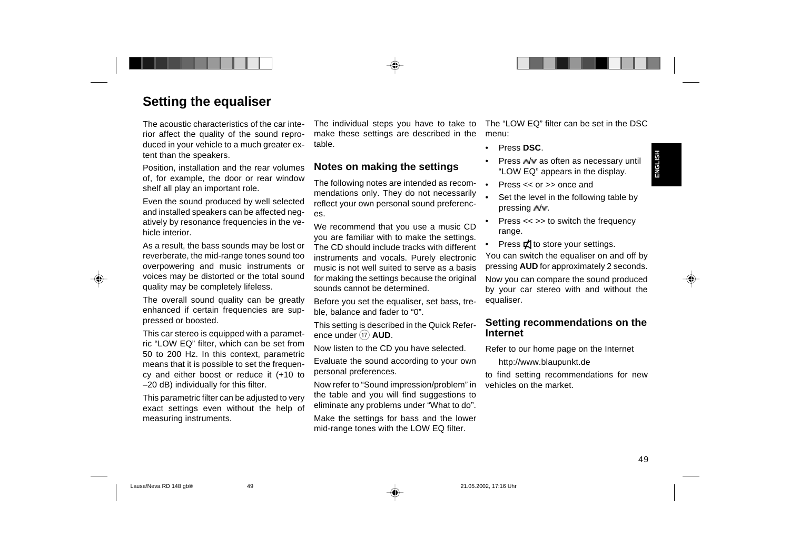# **Setting the equaliser**

The acoustic characteristics of the car interior affect the quality of the sound reproduced in your vehicle to a much greater extent than the speakers.

Position, installation and the rear volumes of, for example, the door or rear window shelf all play an important role.

Even the sound produced by well selected and installed speakers can be affected negatively by resonance frequencies in the vehicle interior.

As a result, the bass sounds may be lost or reverberate, the mid-range tones sound too overpowering and music instruments or voices may be distorted or the total sound quality may be completely lifeless.

The overall sound quality can be greatly enhanced if certain frequencies are suppressed or boosted.

This car stereo is equipped with a parametric "LOW EQ" filter, which can be set from 50 to 200 Hz. In this context, parametric means that it is possible to set the frequency and either boost or reduce it (+10 to –20 dB) individually for this filter.

This parametric filter can be adjusted to very exact settings even without the help of measuring instruments.

The individual steps you have to take to The "LOW EQ" fitter can be set in the DSC<br>
Translate these settings are described in the menu:<br>
The following notes are intended as recom-<br>
"LOW EQ" appears in the display.<br>
The fo

ence under  $(17)$  **AUD**.

Now listen to the CD you have selected.

Evaluate the sound according to your own personal preferences.

Now refer to "Sound impression/problem" in the table and you will find suggestions to eliminate any problems under "What to do".

Make the settings for bass and the lower mid-range tones with the LOW EQ filter.

The "LOW EQ" filter can be set in the DSC menu:

- •Press **DSC**.
- •Press Ny as often as necessary until "LOW EQ" appears in the display.
- •Press << or >> once and
- • Set the level in the following table by pressing  $\mathsf{A} \mathsf{v}$ .
- •Press  $<<$  >> to switch the frequency range.
- •Press  $\sharp$  to store your settings.

You can switch the equaliser on and off by pressing **AUD** for approximately 2 seconds.

Now you can compare the sound produced by your car stereo with and without the equaliser.

#### **Setting recommendations on the Internet**

Refer to our home page on the Internet

http://www.blaupunkt.de

to find setting recommendations for new vehicles on the market.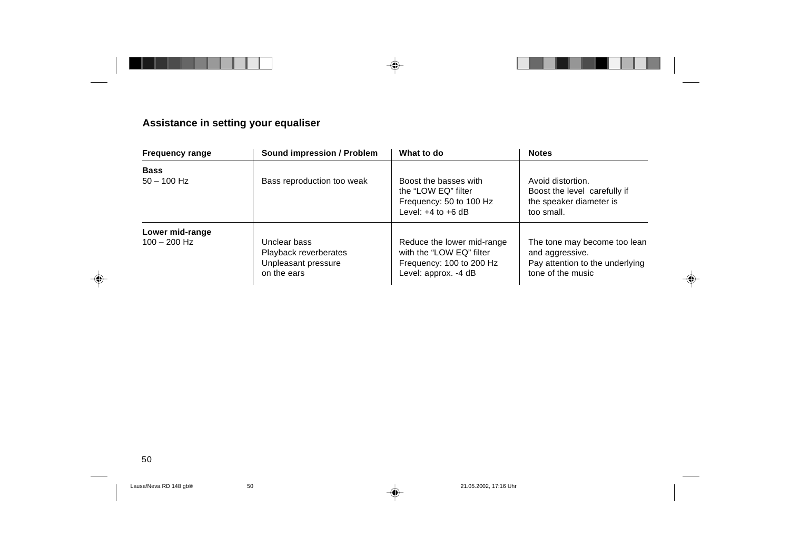## **Assistance in setting your equaliser**

| <b>Frequency range</b>            | Sound impression / Problem                                                  | What to do                                                                                                 | <b>Notes</b>                                                                                            |
|-----------------------------------|-----------------------------------------------------------------------------|------------------------------------------------------------------------------------------------------------|---------------------------------------------------------------------------------------------------------|
| <b>Bass</b>                       |                                                                             |                                                                                                            |                                                                                                         |
| $50 - 100$ Hz                     | Bass reproduction too weak                                                  | Boost the basses with<br>the "LOW EQ" filter<br>Frequency: 50 to 100 Hz<br>Level: $+4$ to $+6$ dB          | Avoid distortion.<br>Boost the level carefully if<br>the speaker diameter is<br>too small.              |
| Lower mid-range<br>$100 - 200$ Hz | Unclear bass<br>Playback reverberates<br>Unpleasant pressure<br>on the ears | Reduce the lower mid-range<br>with the "LOW EQ" filter<br>Frequency: 100 to 200 Hz<br>Level: approx. -4 dB | The tone may become too lean<br>and aggressive.<br>Pay attention to the underlying<br>tone of the music |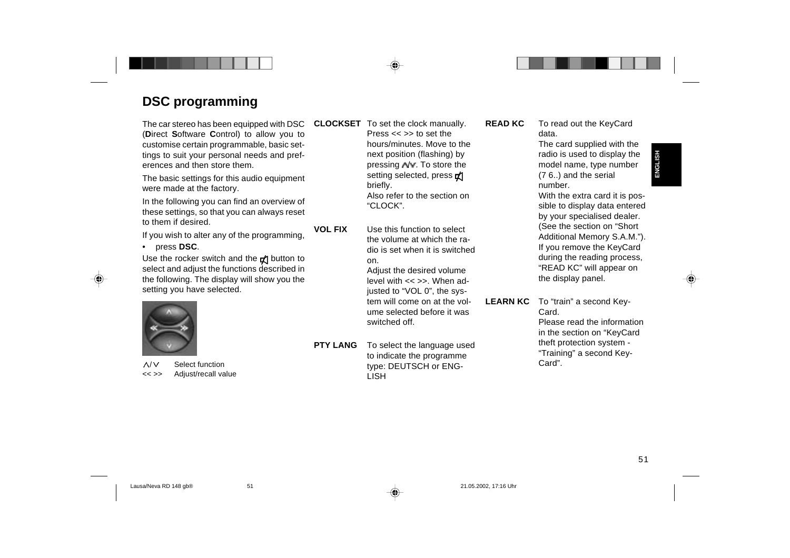(**D**irect **S**oftware **C**ontrol) to allow you to customise certain programmable, basic settings to suit your personal needs and preferences and then store them.

The basic settings for this audio equipment were made at the factory.

In the following you can find an overview of these settings, so that you can always reset to them if desired.

If you wish to alter any of the programming,

•press **DSC**.

Use the rocker switch and the  $\sharp$  button to select and adjust the functions described in the following. The display will show you the setting you have selected.



/ Select function << >> Adjust/recall value

**CLOCKSET** To set the clock manually. Press  $<<$  >> to set the hours/minutes. Move to the

next position (flashing) by pressing  $\land$   $\lor$ . To store the setting selected, press  $\mathbf{r}$ briefly. Also refer to the section on "CLOCK".

**VOL FIX** Use this function to select the volume at which the radio is set when it is switched on.

> Adjust the desired volume level with << >>. When adjusted to "VOL 0", the system will come on at the volume selected before it was switched off.

**PTY LANG** To select the language used to indicate the programme type: DEUTSCH or ENG-LISH

**READ KC** To read out the KeyCard data.

> The card supplied with the radio is used to display the model name, type number (7 6..) and the serial number.

- **DSC programming**<br>
The car stereo has been equipped with DSC CLOCKSET To set the clock manually. READ KC To read out the KeyCard<br>
Collect Schware Control) to allow you to<br>
ensereo has  $\alpha$  been explied with the car stereo With the extra card it is possible to display data entered by your specialised dealer. (See the section on "Short Additional Memory S.A.M."). If you remove the KeyCard during the reading process. "READ KC" will appear on the display panel.
	- **LEARN KC** To "train" a second Key-Card. Please read the information

in the section on "KeyCard theft protection system - "Training" a second Key-Card".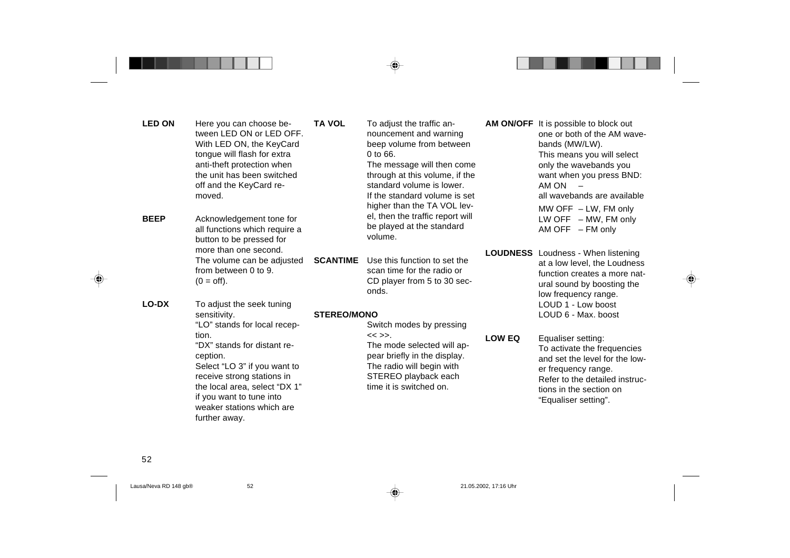| <b>LED ON</b> | Here you can choose be-<br>tween LED ON or LED OFF.<br>With LED ON, the KeyCard<br>tongue will flash for extra<br>anti-theft protection when<br>the unit has been switched<br>off and the KeyCard re-<br>moved.           | <b>TA VOL</b>      | To adjust the traffic an-<br>nouncement and warning<br>beep volume from between<br>0 to 66.<br>The message will then come<br>through at this volume, if the<br>standard volume is lower.<br>If the standard volume is set<br>higher than the TA VOL lev- |               | <b>AM ON/OFF</b> It is possible to block out<br>one or both of the AM wave-<br>bands (MW/LW).<br>This means you will select<br>only the wavebands you<br>want when you press BND:<br>$AM ON -$<br>all wavebands are available<br>MW OFF $- LW$ , FM only |
|---------------|---------------------------------------------------------------------------------------------------------------------------------------------------------------------------------------------------------------------------|--------------------|----------------------------------------------------------------------------------------------------------------------------------------------------------------------------------------------------------------------------------------------------------|---------------|----------------------------------------------------------------------------------------------------------------------------------------------------------------------------------------------------------------------------------------------------------|
| <b>BEEP</b>   | Acknowledgement tone for<br>all functions which require a<br>button to be pressed for                                                                                                                                     |                    | el, then the traffic report will<br>be played at the standard<br>volume.                                                                                                                                                                                 |               | LW OFF - MW, FM only<br>$AM$ OFF $-$ FM only                                                                                                                                                                                                             |
|               | more than one second.<br>The volume can be adjusted<br>from between 0 to 9.<br>$(0 = \text{off}).$                                                                                                                        | <b>SCANTIME</b>    | Use this function to set the<br>scan time for the radio or<br>CD player from 5 to 30 sec-<br>onds.                                                                                                                                                       |               | <b>LOUDNESS</b> Loudness - When listening<br>at a low level, the Loudness<br>function creates a more nat-<br>ural sound by boosting the<br>low frequency range.                                                                                          |
| LO-DX         | To adjust the seek tuning<br>sensitivity.<br>"LO" stands for local recep-                                                                                                                                                 | <b>STEREO/MONO</b> | Switch modes by pressing                                                                                                                                                                                                                                 |               | LOUD 1 - Low boost<br>LOUD 6 - Max. boost                                                                                                                                                                                                                |
|               | tion.<br>"DX" stands for distant re-<br>ception.<br>Select "LO 3" if you want to<br>receive strong stations in<br>the local area, select "DX 1"<br>if you want to tune into<br>weaker stations which are<br>further away. |                    | $<<$ >>.<br>The mode selected will ap-<br>pear briefly in the display.<br>The radio will begin with<br>STEREO playback each<br>time it is switched on.                                                                                                   | <b>LOW EQ</b> | Equaliser setting:<br>To activate the frequencies<br>and set the level for the low-<br>er frequency range.<br>Refer to the detailed instruc-<br>tions in the section on<br>"Equaliser setting".                                                          |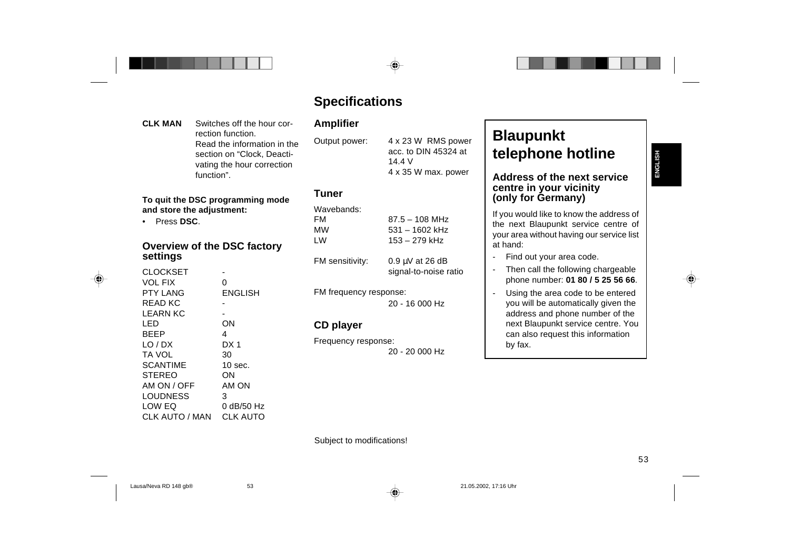# **Specifications**

#### **Overview of the DSC factory settings**

| <b>CLK MAN</b>                                                                                                                                                                                                                                                                                                                                                      | Switches off the hour cor-                                                                                   | <b>Amplifier</b>                                           |                                                                              |                                                                                                                                                                                                                                  |  |
|---------------------------------------------------------------------------------------------------------------------------------------------------------------------------------------------------------------------------------------------------------------------------------------------------------------------------------------------------------------------|--------------------------------------------------------------------------------------------------------------|------------------------------------------------------------|------------------------------------------------------------------------------|----------------------------------------------------------------------------------------------------------------------------------------------------------------------------------------------------------------------------------|--|
|                                                                                                                                                                                                                                                                                                                                                                     | rection function.<br>Read the information in the<br>section on "Clock, Deacti-<br>vating the hour correction | Output power:                                              | 4 x 23 W RMS power<br>acc. to DIN 45324 at<br>14.4V                          | <b>Blaupunkt</b><br>telephone hotline<br>ENGLISH                                                                                                                                                                                 |  |
| function".<br>To quit the DSC programming mode<br>and store the adjustment:<br>• Press DSC.<br><b>Overview of the DSC factory</b><br>settings<br><b>CLOCKSET</b>                                                                                                                                                                                                    |                                                                                                              | <b>Tuner</b><br>Wavebands:<br><b>FM</b><br><b>MW</b><br>LW | 4 x 35 W max. power<br>$87.5 - 108$ MHz<br>$531 - 1602$ kHz<br>153 - 279 kHz | <b>Address of the next service</b><br>centre in your vicinity<br>(only for Germany)<br>If you would like to know the address of<br>the next Blaupunkt service centre of<br>your area without having our service list<br>at hand: |  |
|                                                                                                                                                                                                                                                                                                                                                                     |                                                                                                              | FM sensitivity:                                            | $0.9 \mu V$ at 26 dB<br>signal-to-noise ratio                                | Find out your area code.<br>Then call the following chargeable                                                                                                                                                                   |  |
| $\Omega$<br><b>VOL FIX</b><br><b>PTY LANG</b><br><b>ENGLISH</b><br>READ KC<br><b>LEARN KC</b><br><b>LED</b><br>ON<br><b>BEEP</b><br>4<br>LO/DX<br>DX <sub>1</sub><br><b>TA VOL</b><br>30<br><b>SCANTIME</b><br>$10$ sec.<br><b>STEREO</b><br><b>ON</b><br>AM ON / OFF<br>AM ON<br><b>LOUDNESS</b><br>3<br>LOW EQ<br>0 dB/50 Hz<br>CLK AUTO / MAN<br><b>CLK AUTO</b> |                                                                                                              | FM frequency response:<br><b>CD player</b>                 | 20 - 16 000 Hz                                                               | phone number: 01 80 / 5 25 56 66.<br>Using the area code to be entered<br>you will be automatically given the<br>address and phone number of the<br>next Blaupunkt service centre. You                                           |  |
|                                                                                                                                                                                                                                                                                                                                                                     |                                                                                                              | Frequency response:                                        | 20 - 20 000 Hz                                                               | can also request this information<br>by fax.                                                                                                                                                                                     |  |
|                                                                                                                                                                                                                                                                                                                                                                     |                                                                                                              | Subject to modifications!                                  |                                                                              |                                                                                                                                                                                                                                  |  |

## **Amplifier**

### **Tuner**

| Wavebands:      |                                               |
|-----------------|-----------------------------------------------|
| FM              | $87.5 - 108$ MHz                              |
| МW              | $531 - 1602$ kHz                              |
| LW              | 153 – 279 kHz                                 |
| FM sensitivity: | $0.9 \mu V$ at 26 dB<br>signal-to-noise ratio |

## **CD player**

# **Blaupunkt telephone hotline**

#### **Address of the next service centre in your vicinity (only for Germany)**

- Find out your area code.
- Then call the following chargeable phone number: **01 80 / 5 25 56 66**.
- - Using the area code to be entered you will be automatically given the address and phone number of the next Blaupunkt service centre. You can also request this information by fax.